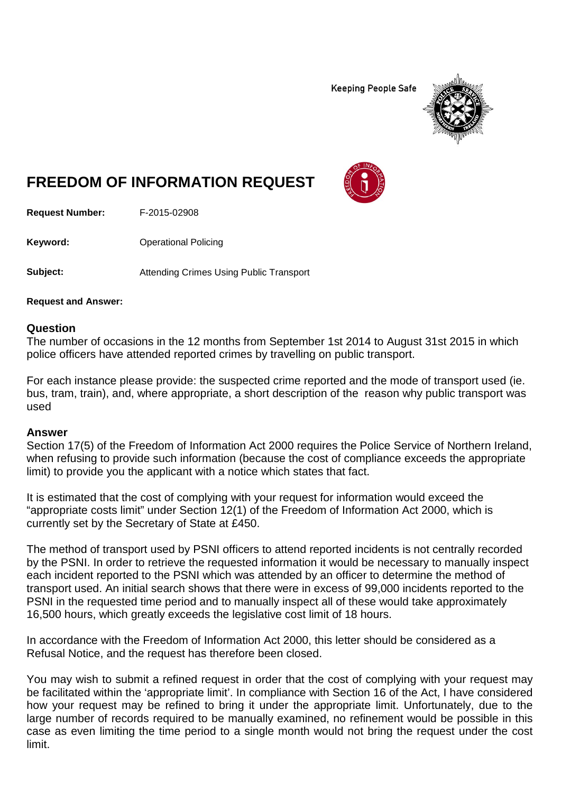**Keeping People Safe** 



## **FREEDOM OF INFORMATION REQUEST**

**Request Number:** F-2015-02908

**Keyword:** Operational Policing

**Subject:** Attending Crimes Using Public Transport

**Request and Answer:**

## **Question**

The number of occasions in the 12 months from September 1st 2014 to August 31st 2015 in which police officers have attended reported crimes by travelling on public transport.

For each instance please provide: the suspected crime reported and the mode of transport used (ie. bus, tram, train), and, where appropriate, a short description of the reason why public transport was used

## **Answer**

Section 17(5) of the Freedom of Information Act 2000 requires the Police Service of Northern Ireland, when refusing to provide such information (because the cost of compliance exceeds the appropriate limit) to provide you the applicant with a notice which states that fact.

It is estimated that the cost of complying with your request for information would exceed the "appropriate costs limit" under Section 12(1) of the Freedom of Information Act 2000, which is currently set by the Secretary of State at £450.

The method of transport used by PSNI officers to attend reported incidents is not centrally recorded by the PSNI. In order to retrieve the requested information it would be necessary to manually inspect each incident reported to the PSNI which was attended by an officer to determine the method of transport used. An initial search shows that there were in excess of 99,000 incidents reported to the PSNI in the requested time period and to manually inspect all of these would take approximately 16,500 hours, which greatly exceeds the legislative cost limit of 18 hours.

In accordance with the Freedom of Information Act 2000, this letter should be considered as a Refusal Notice, and the request has therefore been closed.

You may wish to submit a refined request in order that the cost of complying with your request may be facilitated within the 'appropriate limit'. In compliance with Section 16 of the Act, I have considered how your request may be refined to bring it under the appropriate limit. Unfortunately, due to the large number of records required to be manually examined, no refinement would be possible in this case as even limiting the time period to a single month would not bring the request under the cost limit.